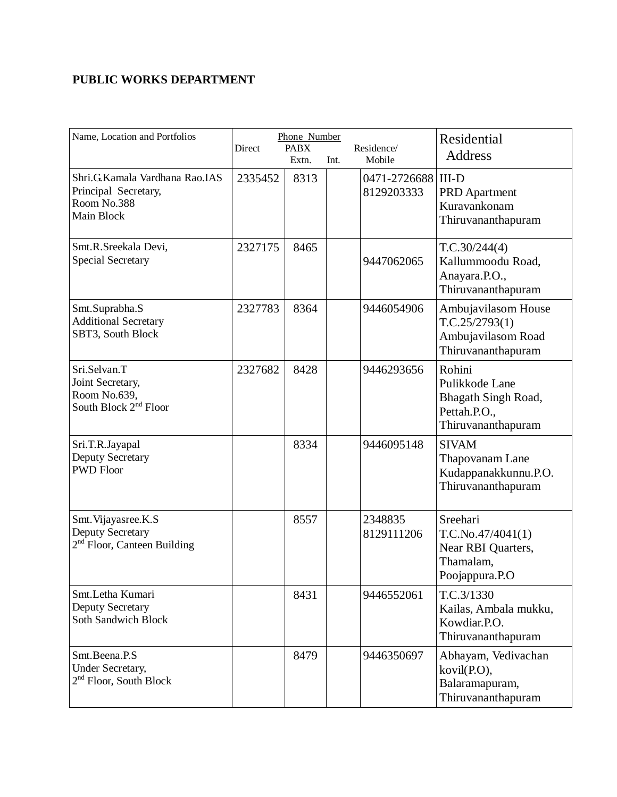## **PUBLIC WORKS DEPARTMENT**

| Name, Location and Portfolios                                                         | Direct  | Phone Number<br><b>PABX</b><br>Extn. | Int. | Residence/<br>Mobile             | Residential<br><b>Address</b>                                                         |
|---------------------------------------------------------------------------------------|---------|--------------------------------------|------|----------------------------------|---------------------------------------------------------------------------------------|
| Shri.G.Kamala Vardhana Rao.IAS<br>Principal Secretary,<br>Room No.388<br>Main Block   | 2335452 | 8313                                 |      | 0471-2726688 III-D<br>8129203333 | <b>PRD</b> Apartment<br>Kuravankonam<br>Thiruvananthapuram                            |
| Smt.R.Sreekala Devi,<br><b>Special Secretary</b>                                      | 2327175 | 8465                                 |      | 9447062065                       | T.C.30/244(4)<br>Kallummoodu Road,<br>Anayara.P.O.,<br>Thiruvananthapuram             |
| Smt.Suprabha.S<br><b>Additional Secretary</b><br>SBT3, South Block                    | 2327783 | 8364                                 |      | 9446054906                       | Ambujavilasom House<br>T.C.25/2793(1)<br>Ambujavilasom Road<br>Thiruvananthapuram     |
| Sri.Selvan.T<br>Joint Secretary,<br>Room No.639,<br>South Block 2 <sup>nd</sup> Floor | 2327682 | 8428                                 |      | 9446293656                       | Rohini<br>Pulikkode Lane<br>Bhagath Singh Road,<br>Pettah.P.O.,<br>Thiruvananthapuram |
| Sri.T.R.Jayapal<br>Deputy Secretary<br><b>PWD Floor</b>                               |         | 8334                                 |      | 9446095148                       | <b>SIVAM</b><br>Thapovanam Lane<br>Kudappanakkunnu.P.O.<br>Thiruvananthapuram         |
| Smt. Vijayasree.K.S<br>Deputy Secretary<br>$2nd$ Floor, Canteen Building              |         | 8557                                 |      | 2348835<br>8129111206            | Sreehari<br>T.C.No.47/4041(1)<br>Near RBI Quarters,<br>Thamalam,<br>Poojappura.P.O    |
| Smt.Letha Kumari<br>Deputy Secretary<br>Soth Sandwich Block                           |         | 8431                                 |      | 9446552061                       | T.C.3/1330<br>Kailas, Ambala mukku,<br>Kowdiar.P.O.<br>Thiruvananthapuram             |
| Smt.Beena.P.S<br>Under Secretary,<br>$2nd$ Floor, South Block                         |         | 8479                                 |      | 9446350697                       | Abhayam, Vedivachan<br>kovil(P.O),<br>Balaramapuram,<br>Thiruvananthapuram            |